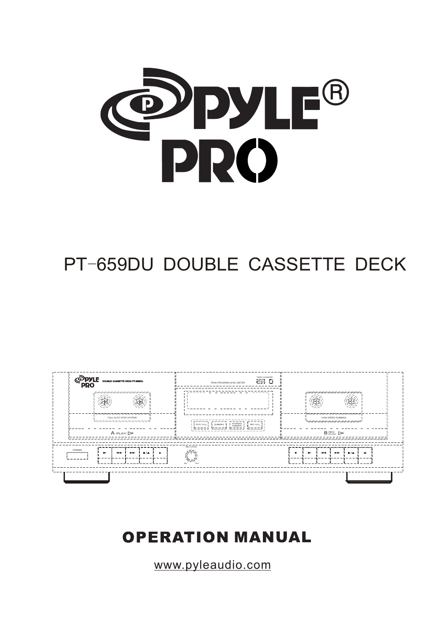

# PT-659DU DOUBLE CASSETTE DECK



# **OPERATION MANUAL**

www.pyleaudio.com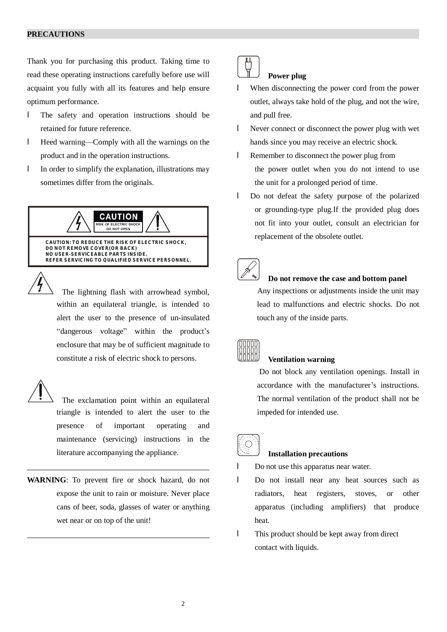#### **PRECAUTIONS**

Thank you for purchasing this product. Taking time to read these operating instructions carefully before use will acquaint you fully with all its features and help ensure optimum performance.

- l The safety and operation instructions should be retained for future reference.
- l Heed warning—Comply with all the warnings on the product and in the operation instructions.
- l In order to simplify the explanation, illustrations may sometimes differ from the originals.

**CAUTION RISK OF ELECTRIC SHOCK DO NOT OPEN CAUTION: TO REDUCE THE RISK OF ELECTRIC SHOCK, DO NOT REMOVE COVER(OR BACK) NO USER-SERVICEABLE PARTS INSIDE. REFER SERVICING TO QUALIFIED SERVICE PERSONNEL.**

 The lightning flash with arrowhead symbol, within an equilateral triangle, is intended to alert the user to the presence of un-insulated "dangerous voltage" within the product's enclosure that may be of sufficient magnitude to constitute a risk of electric shock to persons.

 The exclamation point within an equilateral triangle is intended to alert the user to the presence of important operating and maintenance (servicing) instructions in the literature accompanying the appliance.

**WARNING**: To prevent fire or shock hazard, do not expose the unit to rain or moisture. Never place cans of beer, soda, glasses of water or anything wet near or on top of the unit!

# **Power plug**

- l When disconnecting the power cord from the power outlet, always take hold of the plug, and not the wire, and pull free.
- l Never connect or disconnect the power plug with wet hands since you may receive an electric shock.
- l Remember to disconnect the power plug from the power outlet when you do not intend to use the unit for a prolonged period of time.
- l Do not defeat the safety purpose of the polarized or grounding-type plug.If the provided plug does not fit into your outlet, consult an electrician for replacement of the obsolete outlet.



# **Do not remove the case and bottom panel**

 Any inspections or adjustments inside the unit may lead to malfunctions and electric shocks. Do not touch any of the inside parts.



#### **Ventilation warning**

 Do not block any ventilation openings. Install in accordance with the manufacturer's instructions. The normal ventilation of the product shall not be impeded for intended use.



#### **Installation precautions**

Do not use this apparatus near water.

- l Do not install near any heat sources such as radiators, heat registers, stoves, or other apparatus (including amplifiers) that produce heat.
- l This product should be kept away from direct contact with liquids.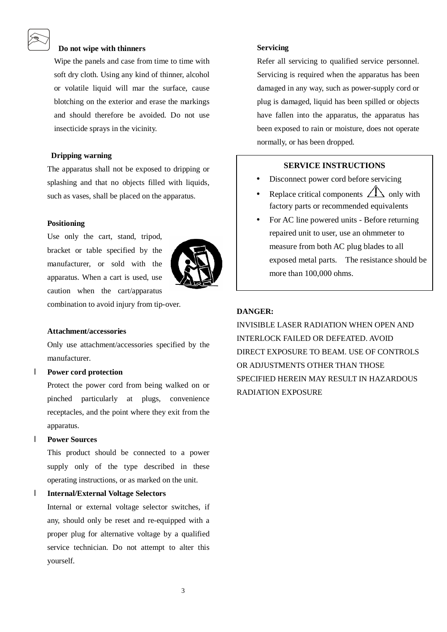# **Do not wipe with thinners**

Wipe the panels and case from time to time with soft dry cloth. Using any kind of thinner, alcohol or volatile liquid will mar the surface, cause blotching on the exterior and erase the markings and should therefore be avoided. Do not use insecticide sprays in the vicinity.

#### **Dripping warning**

The apparatus shall not be exposed to dripping or splashing and that no objects filled with liquids, such as vases, shall be placed on the apparatus.

#### **Positioning**

Use only the cart, stand, tripod, bracket or table specified by the manufacturer, or sold with the apparatus. When a cart is used, use caution when the cart/apparatus



combination to avoid injury from tip-over.

#### **Attachment/accessories**

Only use attachment/accessories specified by the manufacturer.

#### l **Power cord protection**

Protect the power cord from being walked on or pinched particularly at plugs, convenience receptacles, and the point where they exit from the apparatus.

# l **Power Sources**

This product should be connected to a power supply only of the type described in these operating instructions, or as marked on the unit.

# l **Internal/External Voltage Selectors**

Internal or external voltage selector switches, if any, should only be reset and re-equipped with a proper plug for alternative voltage by a qualified service technician. Do not attempt to alter this yourself.

#### **Servicing**

Refer all servicing to qualified service personnel. Servicing is required when the apparatus has been damaged in any way, such as power-supply cord or plug is damaged, liquid has been spilled or objects have fallen into the apparatus, the apparatus has been exposed to rain or moisture, does not operate normally, or has been dropped.

# **SERVICE INSTRUCTIONS**

- Disconnect power cord before servicing
- Replace critical components  $\angle \Box$  only with factory parts or recommended equivalents
- For AC line powered units Before returning repaired unit to user, use an ohmmeter to measure from both AC plug blades to all exposed metal parts. The resistance should be more than 100,000 ohms.

# **DANGER:**

INVISIBLE LASER RADIATION WHEN OPEN AND INTERLOCK FAILED OR DEFEATED. AVOID DIRECT EXPOSURE TO BEAM. USE OF CONTROLS OR ADJUSTMENTS OTHER THAN THOSE SPECIFIED HEREIN MAY RESULT IN HAZARDOUS RADIATION EXPOSURE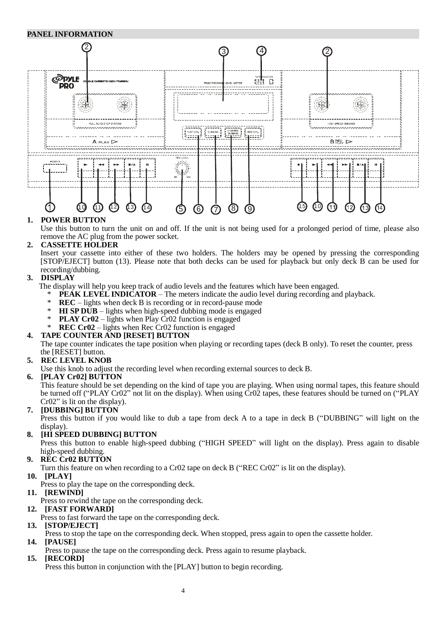# **PANEL INFORMATION**



# **1. POWER BUTTON**

Use this button to turn the unit on and off. If the unit is not being used for a prolonged period of time, please also remove the AC plug from the power socket.

# **2. CASSETTE HOLDER**

 Insert your cassette into either of these two holders. The holders may be opened by pressing the corresponding [STOP/EJECT] button (13). Please note that both decks can be used for playback but only deck B can be used for recording/dubbing.

# **3. DISPLAY**

- The display will help you keep track of audio levels and the features which have been engaged.
	- **PEAK LEVEL INDICATOR** The meters indicate the audio level during recording and playback.
	- \* **REC**  lights when deck B is recording or in record-pause mode
	- **HI SP DUB** lights when high-speed dubbing mode is engaged
	- **PLAY Cr02** lights when Play Cr02 function is engaged
	- **REC Cr02** lights when Rec Cr02 function is engaged

# **4. TAPE COUNTER AND [RESET] BUTTON**

The tape counter indicates the tape position when playing or recording tapes (deck B only). To reset the counter, press the [RESET] button.

# **5. REC LEVEL KNOB**

Use this knob to adjust the recording level when recording external sources to deck B.

**6. [PLAY Cr02] BUTTON** 

This feature should be set depending on the kind of tape you are playing. When using normal tapes, this feature should be turned off ("PLAY Cr02" not lit on the display). When using Cr02 tapes, these features should be turned on ("PLAY Cr02" is lit on the display).

# **7. [DUBBING] BUTTON**

 Press this button if you would like to dub a tape from deck A to a tape in deck B ("DUBBING" will light on the display).

# **8. [HI SPEED DUBBING] BUTTON**

Press this button to enable high-speed dubbing ("HIGH SPEED" will light on the display). Press again to disable high-speed dubbing.

**9. REC Cr02 BUTTON**

Turn this feature on when recording to a Cr02 tape on deck B ("REC Cr02" is lit on the display).

- **10. [PLAY]**
- Press to play the tape on the corresponding deck.
- **11. [REWIND]**
- Press to rewind the tape on the corresponding deck.

# **12. [FAST FORWARD]**

- Press to fast forward the tape on the corresponding deck.
- **13. [STOP/EJECT]**
- Press to stop the tape on the corresponding deck. When stopped, press again to open the cassette holder.
- **14. [PAUSE]**
- Press to pause the tape on the corresponding deck. Press again to resume playback.
- **15. [RECORD]**

Press this button in conjunction with the [PLAY] button to begin recording.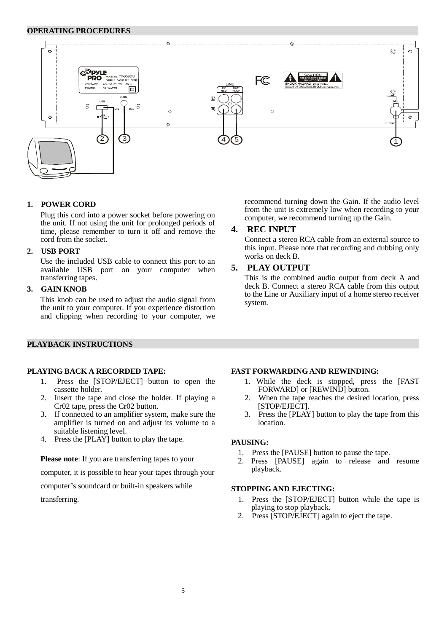#### **OPERATING PROCEDURES**



#### **1. POWER CORD**

Plug this cord into a power socket before powering on the unit. If not using the unit for prolonged periods of time, please remember to turn it off and remove the cord from the socket.

#### **2. USB PORT**

Use the included USB cable to connect this port to an available USB port on your computer when transferring tapes.

# **3. GAIN KNOB**

This knob can be used to adjust the audio signal from the unit to your computer. If you experience distortion and clipping when recording to your computer, we

# **PLAYBACK INSTRUCTIONS**

#### **PLAYING BACK A RECORDED TAPE:**

- 1. Press the [STOP/EJECT] button to open the cassette holder.
- 2. Insert the tape and close the holder. If playing a Cr02 tape, press the Cr02 button.
- 3. If connected to an amplifier system, make sure the amplifier is turned on and adjust its volume to a suitable listening level.
- 4. Press the [PLAY] button to play the tape.

**Please note**: If you are transferring tapes to your

computer, it is possible to hear your tapes through your

computer's soundcard or built-in speakers while

transferring.

recommend turning down the Gain. If the audio level from the unit is extremely low when recording to your computer, we recommend turning up the Gain.

#### **4. REC INPUT**

Connect a stereo RCA cable from an external source to this input. Please note that recording and dubbing only works on deck B.

# **5. PLAY OUTPUT**

This is the combined audio output from deck A and deck B. Connect a stereo RCA cable from this output to the Line or Auxiliary input of a home stereo receiver system.

#### **FAST FORWARDINGAND REWINDING:**

- 1. While the deck is stopped, press the [FAST FORWARD] or [REWIND] button.
- 2. When the tape reaches the desired location, press [STOP/EJECT].
- 3. Press the [PLAY] button to play the tape from this location.

#### **PAUSING:**

- 1. Press the [PAUSE] button to pause the tape.
- 2. Press [PAUSE] again to release and resume playback.

# **STOPPINGAND EJECTING:**

- 1. Press the [STOP/EJECT] button while the tape is playing to stop playback.
- 2. Press [STOP/EJECT] again to eject the tape.